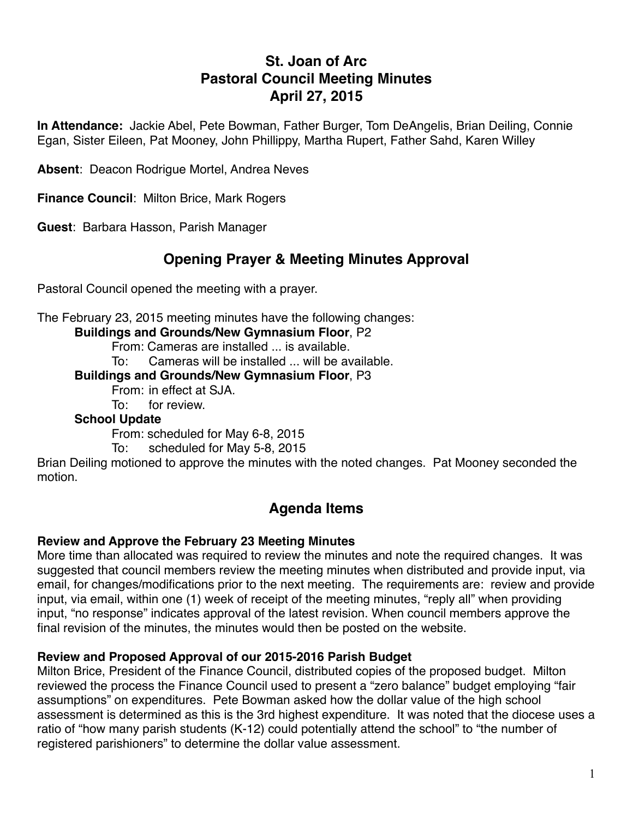# **St. Joan of Arc Pastoral Council Meeting Minutes April 27, 2015**

**In Attendance:** Jackie Abel, Pete Bowman, Father Burger, Tom DeAngelis, Brian Deiling, Connie Egan, Sister Eileen, Pat Mooney, John Phillippy, Martha Rupert, Father Sahd, Karen Willey

**Absent**: Deacon Rodrigue Mortel, Andrea Neves

**Finance Council**: Milton Brice, Mark Rogers

**Guest**: Barbara Hasson, Parish Manager

# **Opening Prayer & Meeting Minutes Approval**

Pastoral Council opened the meeting with a prayer.

The February 23, 2015 meeting minutes have the following changes:

**Buildings and Grounds/New Gymnasium Floor**, P2

From: Cameras are installed ... is available.

To: Cameras will be installed ... will be available.

**Buildings and Grounds/New Gymnasium Floor**, P3

From: in effect at SJA.

To: for review.

#### **School Update**

From: scheduled for May 6-8, 2015

To: scheduled for May 5-8, 2015

Brian Deiling motioned to approve the minutes with the noted changes. Pat Mooney seconded the motion.

## **Agenda Items**

#### **Review and Approve the February 23 Meeting Minutes**

More time than allocated was required to review the minutes and note the required changes. It was suggested that council members review the meeting minutes when distributed and provide input, via email, for changes/modifications prior to the next meeting. The requirements are: review and provide input, via email, within one (1) week of receipt of the meeting minutes, "reply all" when providing input, "no response" indicates approval of the latest revision. When council members approve the final revision of the minutes, the minutes would then be posted on the website.

#### **Review and Proposed Approval of our 2015-2016 Parish Budget**

Milton Brice, President of the Finance Council, distributed copies of the proposed budget. Milton reviewed the process the Finance Council used to present a "zero balance" budget employing "fair assumptions" on expenditures. Pete Bowman asked how the dollar value of the high school assessment is determined as this is the 3rd highest expenditure. It was noted that the diocese uses a ratio of "how many parish students (K-12) could potentially attend the school" to "the number of registered parishioners" to determine the dollar value assessment.